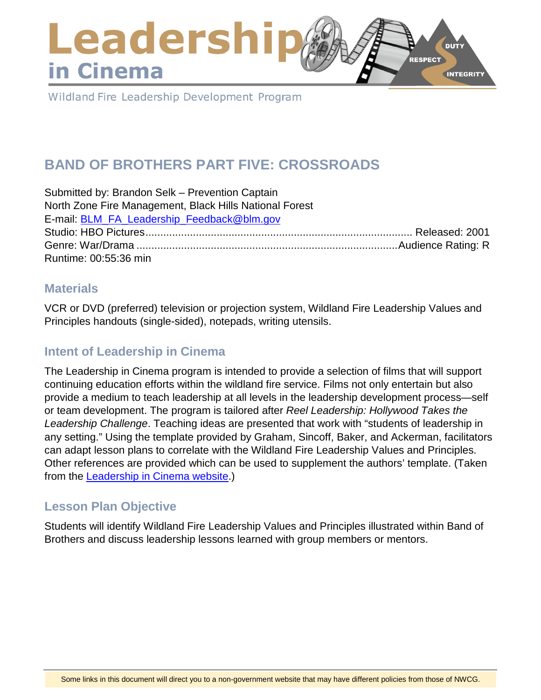### Leadershi **DUTY** RESPECT in Cinema **INTEGRITY**

Wildland Fire Leadership Development Program

# **BAND OF BROTHERS PART FIVE: CROSSROADS**

| Submitted by: Brandon Selk - Prevention Captain         |  |
|---------------------------------------------------------|--|
| North Zone Fire Management, Black Hills National Forest |  |
| E-mail: BLM FA Leadership Feedback@blm.gov              |  |
|                                                         |  |
|                                                         |  |
| Runtime: 00:55:36 min                                   |  |

### **Materials**

VCR or DVD (preferred) television or projection system, Wildland Fire Leadership Values and Principles handouts (single-sided), notepads, writing utensils.

### **Intent of Leadership in Cinema**

The Leadership in Cinema program is intended to provide a selection of films that will support continuing education efforts within the wildland fire service. Films not only entertain but also provide a medium to teach leadership at all levels in the leadership development process—self or team development. The program is tailored after *Reel Leadership: Hollywood Takes the Leadership Challenge*. Teaching ideas are presented that work with "students of leadership in any setting." Using the template provided by Graham, Sincoff, Baker, and Ackerman, facilitators can adapt lesson plans to correlate with the Wildland Fire Leadership Values and Principles. Other references are provided which can be used to supplement the authors' template. (Taken from the **Leadership in Cinema website.**)

### **Lesson Plan Objective**

Students will identify Wildland Fire Leadership Values and Principles illustrated within Band of Brothers and discuss leadership lessons learned with group members or mentors.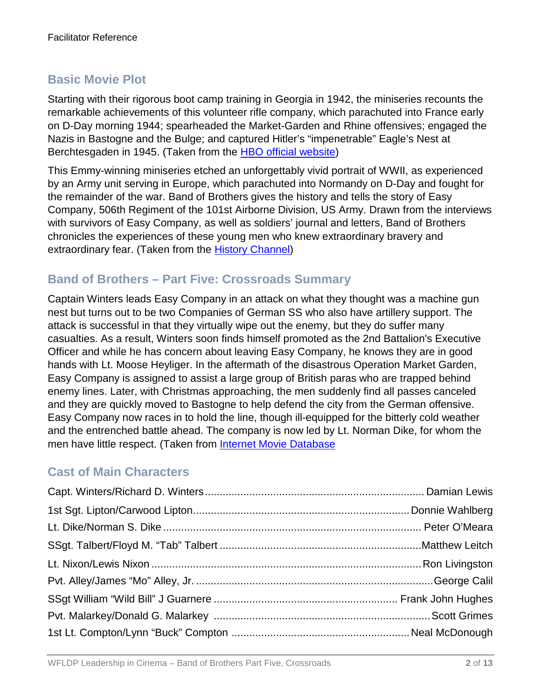# **Basic Movie Plot**

Starting with their rigorous boot camp training in Georgia in 1942, the miniseries recounts the remarkable achievements of this volunteer rifle company, which parachuted into France early on D-Day morning 1944; spearheaded the Market-Garden and Rhine offensives; engaged the Nazis in Bastogne and the Bulge; and captured Hitler's "impenetrable" Eagle's Nest at Berchtesgaden in 1945. (Taken from the [HBO official website\)](http://www.hbo.com/band/landing/currahee.html)

This Emmy-winning miniseries etched an unforgettably vivid portrait of WWII, as experienced by an Army unit serving in Europe, which parachuted into Normandy on D-Day and fought for the remainder of the war. Band of Brothers gives the history and tells the story of Easy Company, 506th Regiment of the 101st Airborne Division, US Army. Drawn from the interviews with survivors of Easy Company, as well as soldiers' journal and letters, Band of Brothers chronicles the experiences of these young men who knew extraordinary bravery and extraordinary fear. (Taken from the [History Channel\)](http://www.history.com/topics/d-day)

### **Band of Brothers – Part Five: Crossroads Summary**

Captain Winters leads Easy Company in an attack on what they thought was a machine gun nest but turns out to be two Companies of German SS who also have artillery support. The attack is successful in that they virtually wipe out the enemy, but they do suffer many casualties. As a result, Winters soon finds himself promoted as the 2nd Battalion's Executive Officer and while he has concern about leaving Easy Company, he knows they are in good hands with Lt. Moose Heyliger. In the aftermath of the disastrous Operation Market Garden, Easy Company is assigned to assist a large group of British paras who are trapped behind enemy lines. Later, with Christmas approaching, the men suddenly find all passes canceled and they are quickly moved to Bastogne to help defend the city from the German offensive. Easy Company now races in to hold the line, though ill-equipped for the bitterly cold weather and the entrenched battle ahead. The company is now led by Lt. Norman Dike, for whom the men have little respect. (Taken from [Internet Movie Database](http://www.imdb.com/)

### **Cast of Main Characters**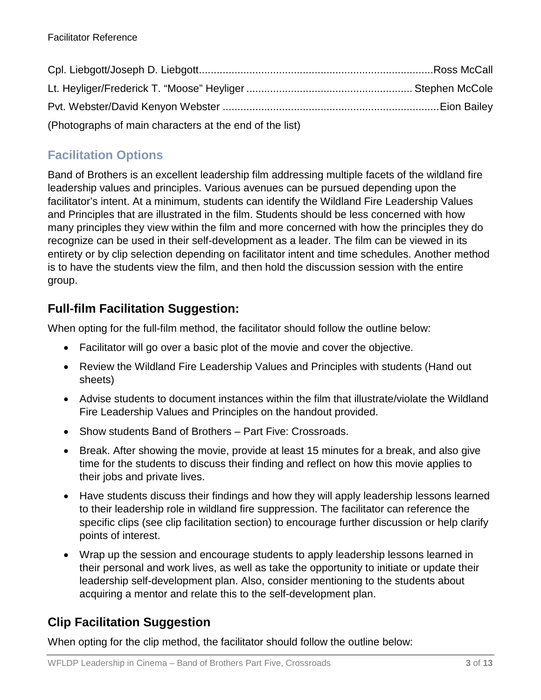| (Photographs of main characters at the end of the list) |  |
|---------------------------------------------------------|--|

# **Facilitation Options**

Band of Brothers is an excellent leadership film addressing multiple facets of the wildland fire leadership values and principles. Various avenues can be pursued depending upon the facilitator's intent. At a minimum, students can identify the Wildland Fire Leadership Values and Principles that are illustrated in the film. Students should be less concerned with how many principles they view within the film and more concerned with how the principles they do recognize can be used in their self-development as a leader. The film can be viewed in its entirety or by clip selection depending on facilitator intent and time schedules. Another method is to have the students view the film, and then hold the discussion session with the entire group.

# **Full-film Facilitation Suggestion:**

When opting for the full-film method, the facilitator should follow the outline below:

- Facilitator will go over a basic plot of the movie and cover the objective.
- Review the Wildland Fire Leadership Values and Principles with students (Hand out sheets)
- Advise students to document instances within the film that illustrate/violate the Wildland Fire Leadership Values and Principles on the handout provided.
- Show students Band of Brothers Part Five: Crossroads.
- Break. After showing the movie, provide at least 15 minutes for a break, and also give time for the students to discuss their finding and reflect on how this movie applies to their jobs and private lives.
- Have students discuss their findings and how they will apply leadership lessons learned to their leadership role in wildland fire suppression. The facilitator can reference the specific clips (see clip facilitation section) to encourage further discussion or help clarify points of interest.
- Wrap up the session and encourage students to apply leadership lessons learned in their personal and work lives, as well as take the opportunity to initiate or update their leadership self-development plan. Also, consider mentioning to the students about acquiring a mentor and relate this to the self-development plan.

# **Clip Facilitation Suggestion**

When opting for the clip method, the facilitator should follow the outline below: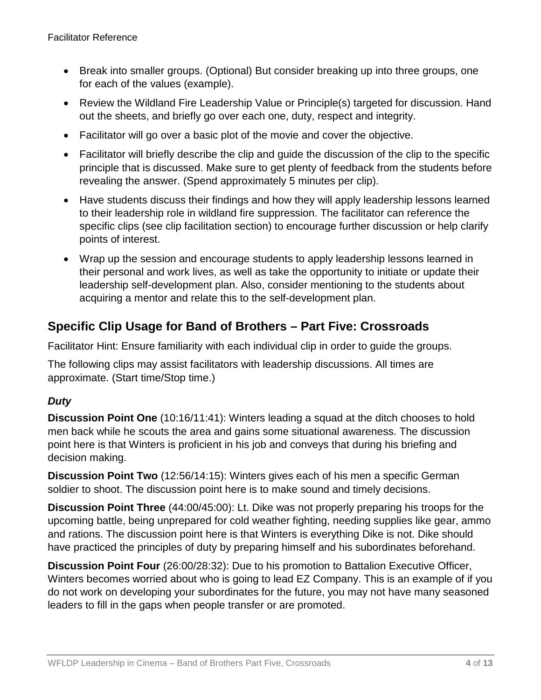- Break into smaller groups. (Optional) But consider breaking up into three groups, one for each of the values (example).
- Review the Wildland Fire Leadership Value or Principle(s) targeted for discussion. Hand out the sheets, and briefly go over each one, duty, respect and integrity.
- Facilitator will go over a basic plot of the movie and cover the objective.
- Facilitator will briefly describe the clip and guide the discussion of the clip to the specific principle that is discussed. Make sure to get plenty of feedback from the students before revealing the answer. (Spend approximately 5 minutes per clip).
- Have students discuss their findings and how they will apply leadership lessons learned to their leadership role in wildland fire suppression. The facilitator can reference the specific clips (see clip facilitation section) to encourage further discussion or help clarify points of interest.
- Wrap up the session and encourage students to apply leadership lessons learned in their personal and work lives, as well as take the opportunity to initiate or update their leadership self-development plan. Also, consider mentioning to the students about acquiring a mentor and relate this to the self-development plan.

# **Specific Clip Usage for Band of Brothers – Part Five: Crossroads**

Facilitator Hint: Ensure familiarity with each individual clip in order to guide the groups.

The following clips may assist facilitators with leadership discussions. All times are approximate. (Start time/Stop time.)

#### *Duty*

**Discussion Point One** (10:16/11:41): Winters leading a squad at the ditch chooses to hold men back while he scouts the area and gains some situational awareness. The discussion point here is that Winters is proficient in his job and conveys that during his briefing and decision making.

**Discussion Point Two** (12:56/14:15): Winters gives each of his men a specific German soldier to shoot. The discussion point here is to make sound and timely decisions.

**Discussion Point Three** (44:00/45:00): Lt. Dike was not properly preparing his troops for the upcoming battle, being unprepared for cold weather fighting, needing supplies like gear, ammo and rations. The discussion point here is that Winters is everything Dike is not. Dike should have practiced the principles of duty by preparing himself and his subordinates beforehand.

**Discussion Point Four** (26:00/28:32): Due to his promotion to Battalion Executive Officer, Winters becomes worried about who is going to lead EZ Company. This is an example of if you do not work on developing your subordinates for the future, you may not have many seasoned leaders to fill in the gaps when people transfer or are promoted.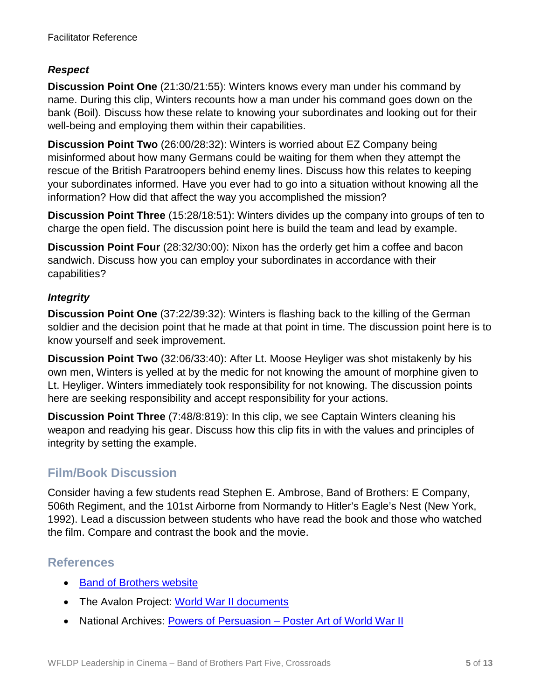#### *Respect*

**Discussion Point One** (21:30/21:55): Winters knows every man under his command by name. During this clip, Winters recounts how a man under his command goes down on the bank (Boil). Discuss how these relate to knowing your subordinates and looking out for their well-being and employing them within their capabilities.

**Discussion Point Two** (26:00/28:32): Winters is worried about EZ Company being misinformed about how many Germans could be waiting for them when they attempt the rescue of the British Paratroopers behind enemy lines. Discuss how this relates to keeping your subordinates informed. Have you ever had to go into a situation without knowing all the information? How did that affect the way you accomplished the mission?

**Discussion Point Three** (15:28/18:51): Winters divides up the company into groups of ten to charge the open field. The discussion point here is build the team and lead by example.

**Discussion Point Four** (28:32/30:00): Nixon has the orderly get him a coffee and bacon sandwich. Discuss how you can employ your subordinates in accordance with their capabilities?

#### *Integrity*

**Discussion Point One** (37:22/39:32): Winters is flashing back to the killing of the German soldier and the decision point that he made at that point in time. The discussion point here is to know yourself and seek improvement.

**Discussion Point Two** (32:06/33:40): After Lt. Moose Heyliger was shot mistakenly by his own men, Winters is yelled at by the medic for not knowing the amount of morphine given to Lt. Heyliger. Winters immediately took responsibility for not knowing. The discussion points here are seeking responsibility and accept responsibility for your actions.

**Discussion Point Three** (7:48/8:819): In this clip, we see Captain Winters cleaning his weapon and readying his gear. Discuss how this clip fits in with the values and principles of integrity by setting the example.

### **Film/Book Discussion**

Consider having a few students read Stephen E. Ambrose, Band of Brothers: E Company, 506th Regiment, and the 101st Airborne from Normandy to Hitler's Eagle's Nest (New York, 1992). Lead a discussion between students who have read the book and those who watched the film. Compare and contrast the book and the movie.

### **References**

- [Band of Brothers website](http://www.hbo.com/band/landing/currahee.html)
- The Avalon Project: [World War II documents](http://avalon.law.yale.edu/subject_menus/wwii.asp)
- National Archives: Powers of Persuasion [Poster Art of World War II](https://www.archives.gov/education/lessons/wwii-posters)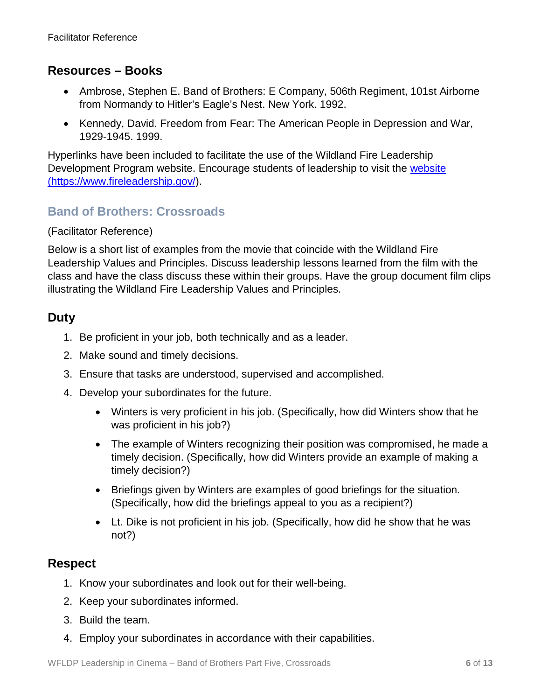### **Resources – Books**

- Ambrose, Stephen E. Band of Brothers: E Company, 506th Regiment, 101st Airborne from Normandy to Hitler's Eagle's Nest. New York. 1992.
- Kennedy, David. Freedom from Fear: The American People in Depression and War, 1929-1945. 1999.

Hyperlinks have been included to facilitate the use of the Wildland Fire Leadership Development Program website. Encourage students of leadership to visit the website [\(https://www.fireleadership.gov/\)](https://www.fireleadership.gov/).

### **Band of Brothers: Crossroads**

#### (Facilitator Reference)

Below is a short list of examples from the movie that coincide with the Wildland Fire Leadership Values and Principles. Discuss leadership lessons learned from the film with the class and have the class discuss these within their groups. Have the group document film clips illustrating the Wildland Fire Leadership Values and Principles.

### **Duty**

- 1. Be proficient in your job, both technically and as a leader.
- 2. Make sound and timely decisions.
- 3. Ensure that tasks are understood, supervised and accomplished.
- 4. Develop your subordinates for the future.
	- Winters is very proficient in his job. (Specifically, how did Winters show that he was proficient in his job?)
	- The example of Winters recognizing their position was compromised, he made a timely decision. (Specifically, how did Winters provide an example of making a timely decision?)
	- Briefings given by Winters are examples of good briefings for the situation. (Specifically, how did the briefings appeal to you as a recipient?)
	- Lt. Dike is not proficient in his job. (Specifically, how did he show that he was not?)

### **Respect**

- 1. Know your subordinates and look out for their well-being.
- 2. Keep your subordinates informed.
- 3. Build the team.
- 4. Employ your subordinates in accordance with their capabilities.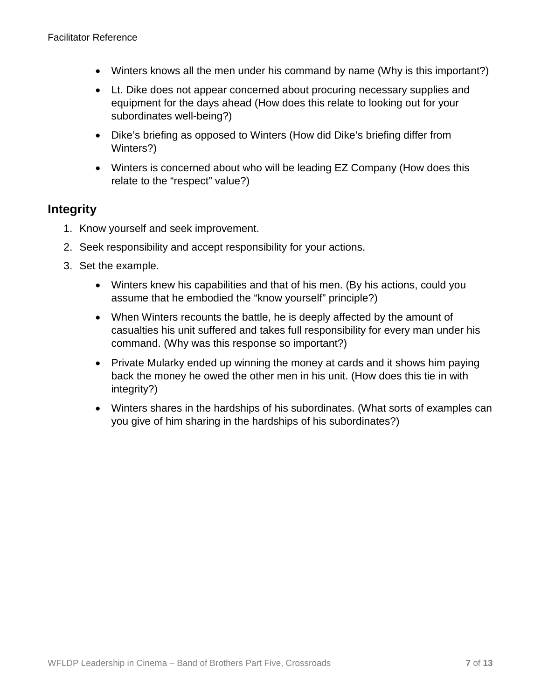- Winters knows all the men under his command by name (Why is this important?)
- Lt. Dike does not appear concerned about procuring necessary supplies and equipment for the days ahead (How does this relate to looking out for your subordinates well-being?)
- Dike's briefing as opposed to Winters (How did Dike's briefing differ from Winters?)
- Winters is concerned about who will be leading EZ Company (How does this relate to the "respect" value?)

#### **Integrity**

- 1. Know yourself and seek improvement.
- 2. Seek responsibility and accept responsibility for your actions.
- 3. Set the example.
	- Winters knew his capabilities and that of his men. (By his actions, could you assume that he embodied the "know yourself" principle?)
	- When Winters recounts the battle, he is deeply affected by the amount of casualties his unit suffered and takes full responsibility for every man under his command. (Why was this response so important?)
	- Private Mularky ended up winning the money at cards and it shows him paying back the money he owed the other men in his unit. (How does this tie in with integrity?)
	- Winters shares in the hardships of his subordinates. (What sorts of examples can you give of him sharing in the hardships of his subordinates?)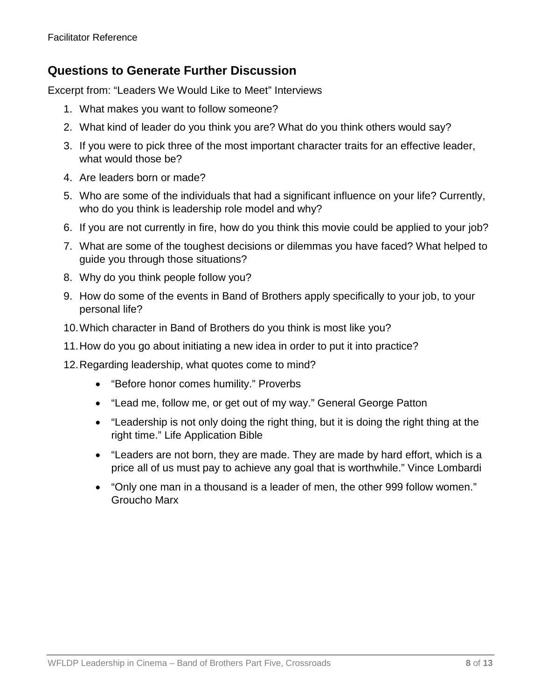### **Questions to Generate Further Discussion**

Excerpt from: "Leaders We Would Like to Meet" Interviews

- 1. What makes you want to follow someone?
- 2. What kind of leader do you think you are? What do you think others would say?
- 3. If you were to pick three of the most important character traits for an effective leader, what would those be?
- 4. Are leaders born or made?
- 5. Who are some of the individuals that had a significant influence on your life? Currently, who do you think is leadership role model and why?
- 6. If you are not currently in fire, how do you think this movie could be applied to your job?
- 7. What are some of the toughest decisions or dilemmas you have faced? What helped to guide you through those situations?
- 8. Why do you think people follow you?
- 9. How do some of the events in Band of Brothers apply specifically to your job, to your personal life?
- 10.Which character in Band of Brothers do you think is most like you?
- 11.How do you go about initiating a new idea in order to put it into practice?
- 12.Regarding leadership, what quotes come to mind?
	- "Before honor comes humility." Proverbs
	- "Lead me, follow me, or get out of my way." General George Patton
	- "Leadership is not only doing the right thing, but it is doing the right thing at the right time." Life Application Bible
	- "Leaders are not born, they are made. They are made by hard effort, which is a price all of us must pay to achieve any goal that is worthwhile." Vince Lombardi
	- "Only one man in a thousand is a leader of men, the other 999 follow women." Groucho Marx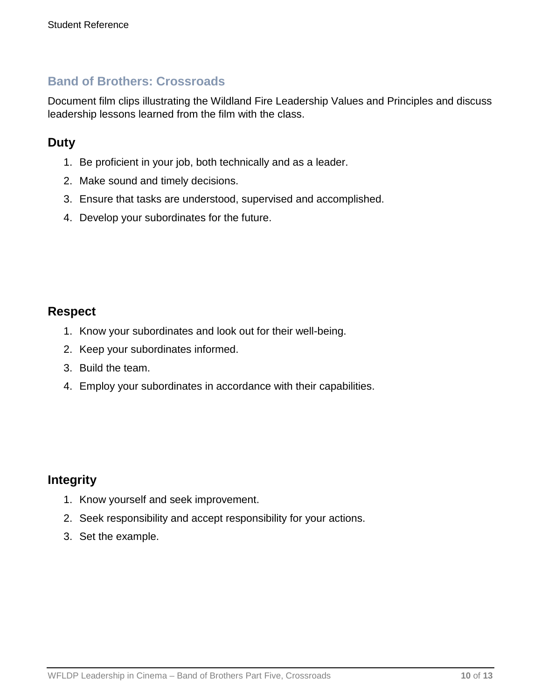### **Band of Brothers: Crossroads**

Document film clips illustrating the Wildland Fire Leadership Values and Principles and discuss leadership lessons learned from the film with the class.

### **Duty**

- 1. Be proficient in your job, both technically and as a leader.
- 2. Make sound and timely decisions.
- 3. Ensure that tasks are understood, supervised and accomplished.
- 4. Develop your subordinates for the future.

#### **Respect**

- 1. Know your subordinates and look out for their well-being.
- 2. Keep your subordinates informed.
- 3. Build the team.
- 4. Employ your subordinates in accordance with their capabilities.

### **Integrity**

- 1. Know yourself and seek improvement.
- 2. Seek responsibility and accept responsibility for your actions.
- 3. Set the example.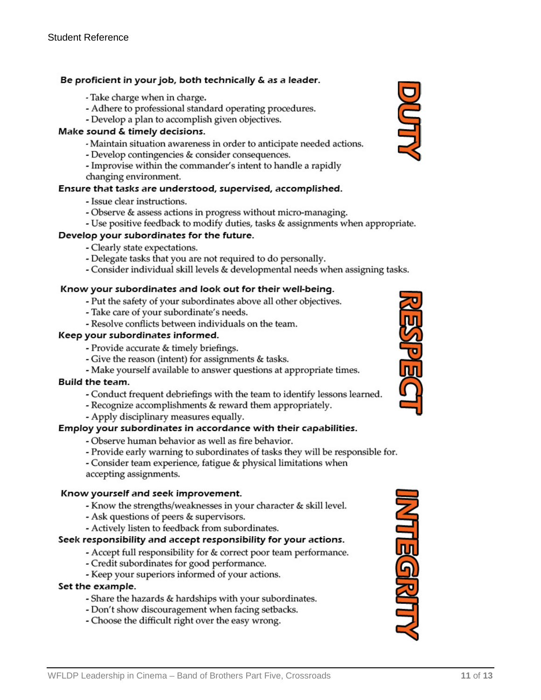#### Be proficient in your job, both technically & as a leader.

- Take charge when in charge.
- Adhere to professional standard operating procedures.
- Develop a plan to accomplish given objectives.

#### Make sound & timely decisions.

- Maintain situation awareness in order to anticipate needed actions.
- Develop contingencies & consider consequences.
- Improvise within the commander's intent to handle a rapidly
- changing environment.

#### Ensure that tasks are understood, supervised, accomplished.

- Issue clear instructions.
- Observe & assess actions in progress without micro-managing.
- Use positive feedback to modify duties, tasks & assignments when appropriate.

#### Develop your subordinates for the future.

- Clearly state expectations.
- Delegate tasks that you are not required to do personally.
- Consider individual skill levels & developmental needs when assigning tasks.

#### Know your subordinates and look out for their well-being.

- Put the safety of your subordinates above all other objectives.
- Take care of your subordinate's needs.
- Resolve conflicts between individuals on the team.

#### Keep your subordinates informed.

- Provide accurate & timely briefings.
- Give the reason (intent) for assignments & tasks.
- Make yourself available to answer questions at appropriate times.

#### Build the team.

- Conduct frequent debriefings with the team to identify lessons learned.
- Recognize accomplishments & reward them appropriately.
- Apply disciplinary measures equally.

#### Employ your subordinates in accordance with their capabilities.

- Observe human behavior as well as fire behavior.
- Provide early warning to subordinates of tasks they will be responsible for.

- Consider team experience, fatigue & physical limitations when accepting assignments.

#### Know yourself and seek improvement.

- Know the strengths/weaknesses in your character & skill level.
- Ask questions of peers & supervisors.
- Actively listen to feedback from subordinates.

#### Seek responsibility and accept responsibility for your actions.

- Accept full responsibility for & correct poor team performance.
- Credit subordinates for good performance.
- Keep your superiors informed of your actions.

#### Set the example.

- Share the hazards & hardships with your subordinates.
- Don't show discouragement when facing setbacks.
- Choose the difficult right over the easy wrong.





**MUSGRAT** 

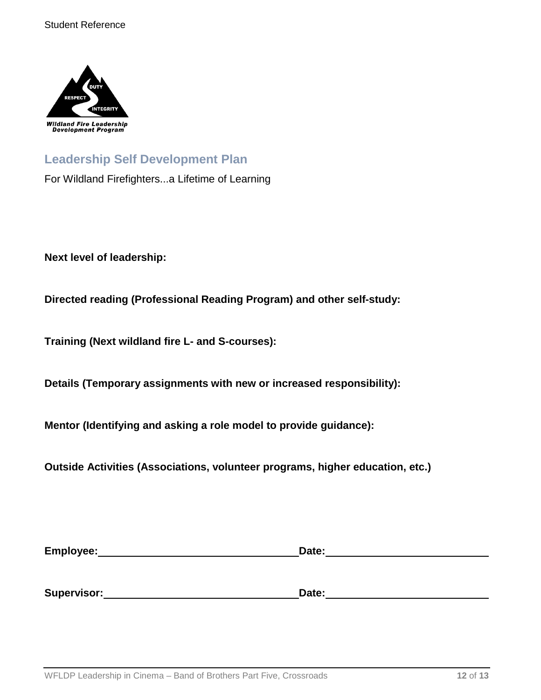

## **Leadership Self Development Plan**

For Wildland Firefighters...a Lifetime of Learning

**Next level of leadership:**

**Directed reading (Professional Reading Program) and other self-study:**

**Training (Next wildland fire L- and S-courses):**

**Details (Temporary assignments with new or increased responsibility):**

**Mentor (Identifying and asking a role model to provide guidance):**

**Outside Activities (Associations, volunteer programs, higher education, etc.)**

| Employee:   | Date: |  |
|-------------|-------|--|
|             |       |  |
|             |       |  |
| Supervisor: | Date: |  |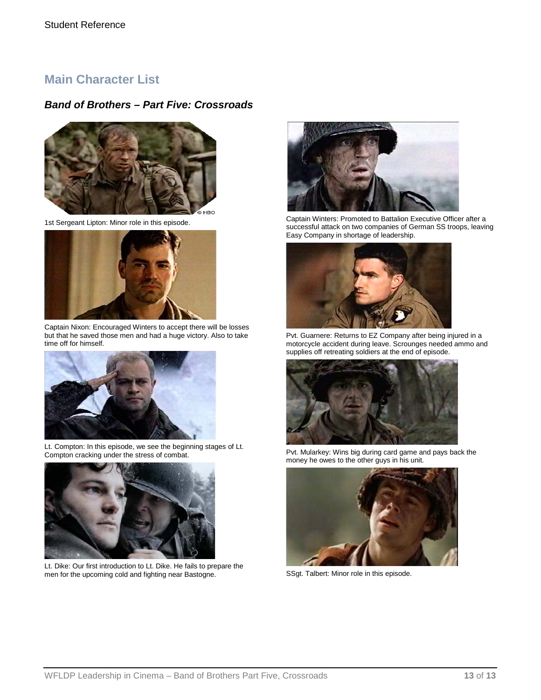### **Main Character List**

#### *Band of Brothers – Part Five: Crossroads*



1st Sergeant Lipton: Minor role in this episode.



Captain Nixon: Encouraged Winters to accept there will be losses but that he saved those men and had a huge victory. Also to take time off for himself.



Lt. Compton: In this episode, we see the beginning stages of Lt. Compton cracking under the stress of combat.



Lt. Dike: Our first introduction to Lt. Dike. He fails to prepare the men for the upcoming cold and fighting near Bastogne.



Captain Winters: Promoted to Battalion Executive Officer after a successful attack on two companies of German SS troops, leaving Easy Company in shortage of leadership.



Pvt. Guarnere: Returns to EZ Company after being injured in a motorcycle accident during leave. Scrounges needed ammo and supplies off retreating soldiers at the end of episode.



Pvt. Mularkey: Wins big during card game and pays back the money he owes to the other guys in his unit.



SSgt. Talbert: Minor role in this episode.